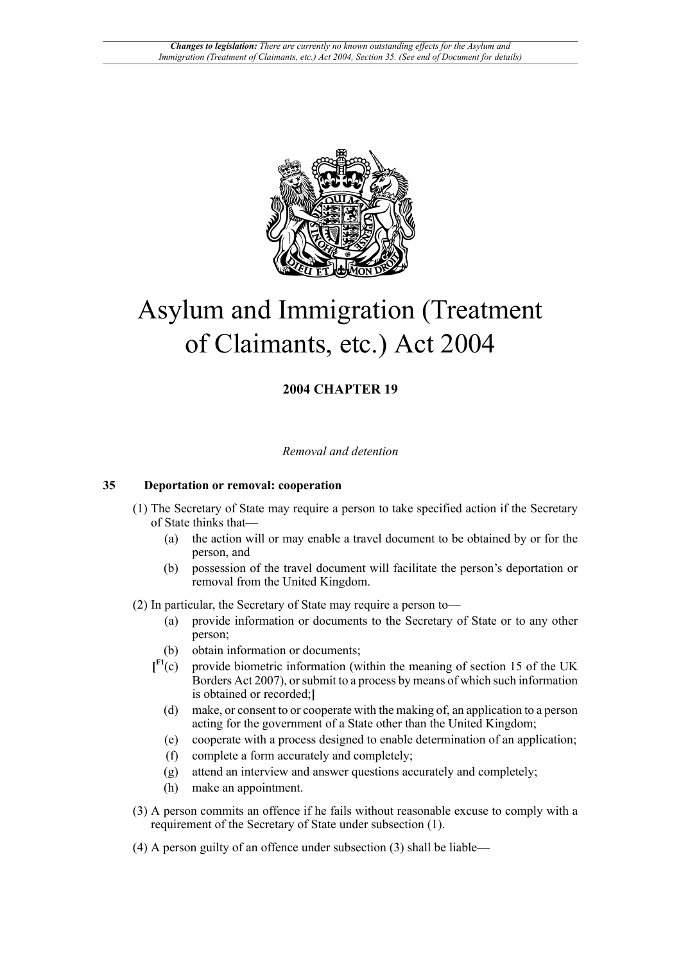

# Asylum and Immigration (Treatment of Claimants, etc.) Act 2004

## **2004 CHAPTER 19**

#### *Removal and detention*

#### **35 Deportation or removal: cooperation**

- (1) The Secretary of State may require a person to take specified action if the Secretary of State thinks that—
	- (a) the action will or may enable a travel document to be obtained by or for the person, and
	- (b) possession of the travel document will facilitate the person's deportation or removal from the United Kingdom.
- <span id="page-0-0"></span>(2) In particular, the Secretary of State may require a person to—
	- (a) provide information or documents to the Secretary of State or to any other person;
	- (b) obtain information or documents;
	- $\mathbf{I}^{\mathrm{F1}}(\mathrm{c})$ provide biometric information (within the meaning of section 15 of the UK Borders Act 2007), or submit to a process by means of which such information is obtained or recorded;**]**
		- (d) make, or consent to or cooperate with the making of, an application to a person acting for the government of a State other than the United Kingdom;
		- (e) cooperate with a process designed to enable determination of an application;
		- (f) complete a form accurately and completely;
		- (g) attend an interview and answer questions accurately and completely;
		- (h) make an appointment.
- (3) A person commits an offence if he fails without reasonable excuse to comply with a requirement of the Secretary of State under subsection (1).
- (4) A person guilty of an offence under subsection (3) shall be liable—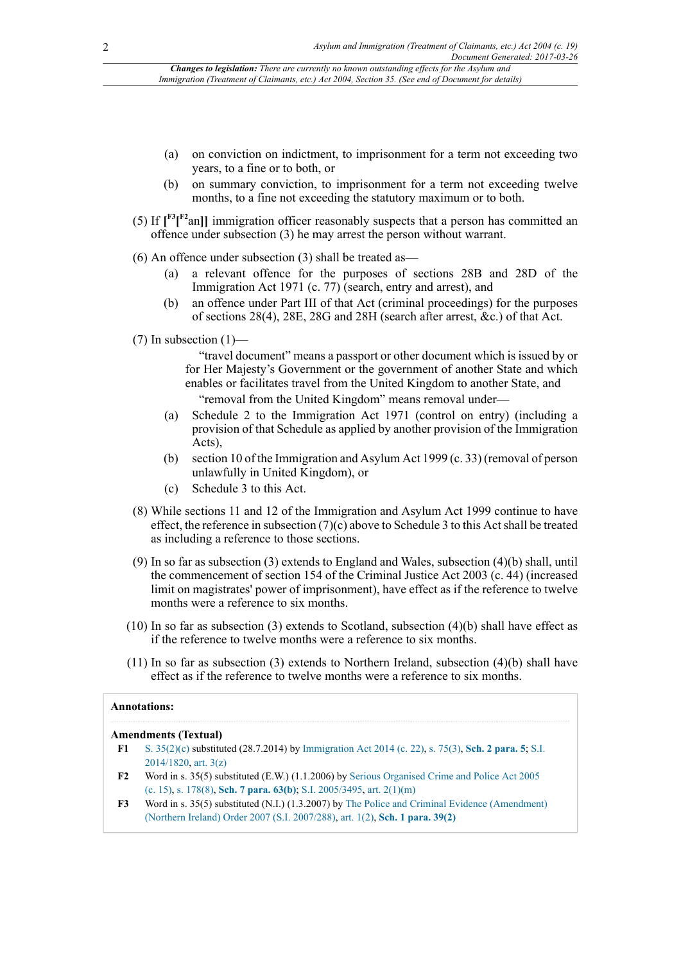*Changes to legislation: There are currently no known outstanding effects for the Asylum and Immigration (Treatment of Claimants, etc.) Act 2004, Section 35. (See end of Document for details)*

- (a) on conviction on indictment, to imprisonment for a term not exceeding two years, to a fine or to both, or
- (b) on summary conviction, to imprisonment for a term not exceeding twelve months, to a fine not exceeding the statutory maximum or to both.
- (5) If  $\left[\int_{0}^{F_2} \left[\right]_{0}^{F_1}$  immigration officer reasonably suspects that a person has committed an offence under subsection (3) he may arrest the person without warrant.
- (6) An offence under subsection (3) shall be treated as—
	- (a) a relevant offence for the purposes of sections 28B and 28D of the Immigration Act 1971 (c. 77) (search, entry and arrest), and
	- (b) an offence under Part III of that Act (criminal proceedings) for the purposes of sections 28(4), 28E, 28G and 28H (search after arrest, &c.) of that Act.
- $(7)$  In subsection  $(1)$ —

"travel document" means a passport or other document which is issued by or for Her Majesty's Government or the government of another State and which enables or facilitates travel from the United Kingdom to another State, and "removal from the United Kingdom" means removal under—

- (a) Schedule 2 to the Immigration Act 1971 (control on entry) (including a provision of that Schedule as applied by another provision of the Immigration Acts),
- (b) section 10 of the Immigration and Asylum Act 1999 (c. 33) (removal of person unlawfully in United Kingdom), or
- (c) Schedule 3 to this Act.
- (8) While sections 11 and 12 of the Immigration and Asylum Act 1999 continue to have effect, the reference in subsection (7)(c) above to Schedule 3 to this Act shall be treated as including a reference to those sections.
- (9) In so far as subsection (3) extends to England and Wales, subsection (4)(b) shall, until the commencement of section 154 of the Criminal Justice Act 2003 (c. 44) (increased limit on magistrates' power of imprisonment), have effect as if the reference to twelve months were a reference to six months.
- (10) In so far as subsection (3) extends to Scotland, subsection (4)(b) shall have effect as if the reference to twelve months were a reference to six months.
- (11) In so far as subsection (3) extends to Northern Ireland, subsection (4)(b) shall have effect as if the reference to twelve months were a reference to six months.

#### **Annotations:**

#### **Amendments (Textual)**

- <span id="page-1-0"></span>**[F1](#page-0-0)** [S. 35\(2\)\(c\)](http://www.legislation.gov.uk/id/ukpga/2004/19/section/35/2/c) substituted (28.7.2014) by [Immigration Act 2014 \(c. 22\),](http://www.legislation.gov.uk/id/ukpga/2014/22) [s. 75\(3\),](http://www.legislation.gov.uk/id/ukpga/2014/22/section/75/3) **[Sch. 2 para. 5](http://www.legislation.gov.uk/id/ukpga/2014/22/schedule/2/paragraph/5)**; [S.I.](http://www.legislation.gov.uk/id/uksi/2014/1820) [2014/1820](http://www.legislation.gov.uk/id/uksi/2014/1820), [art. 3\(z\)](http://www.legislation.gov.uk/id/uksi/2014/1820/article/3/z)
- <span id="page-1-2"></span>**F2** Word in s. 35(5) substituted (E.W.) (1.1.2006) by [Serious Organised Crime and Police Act 2005](http://www.legislation.gov.uk/id/ukpga/2005/15) [\(c. 15\)](http://www.legislation.gov.uk/id/ukpga/2005/15), [s. 178\(8\),](http://www.legislation.gov.uk/id/ukpga/2005/15/section/178/8) **[Sch. 7 para. 63\(b\)](http://www.legislation.gov.uk/id/ukpga/2005/15/schedule/7/paragraph/63/b)**; [S.I. 2005/3495,](http://www.legislation.gov.uk/id/uksi/2005/3495) [art. 2\(1\)\(m\)](http://www.legislation.gov.uk/id/uksi/2005/3495/article/2/1/m)
- <span id="page-1-1"></span>**F3** Word in s. 35(5) substituted (N.I.) (1.3.2007) by [The Police and Criminal Evidence \(Amendment\)](http://www.legislation.gov.uk/id/nisi/2007/288) [\(Northern Ireland\) Order 2007 \(S.I. 2007/288\)](http://www.legislation.gov.uk/id/nisi/2007/288), [art. 1\(2\),](http://www.legislation.gov.uk/id/nisi/2007/288/article/1/2) **[Sch. 1 para. 39\(2\)](http://www.legislation.gov.uk/id/nisi/2007/288/schedule/1/paragraph/39/2)**